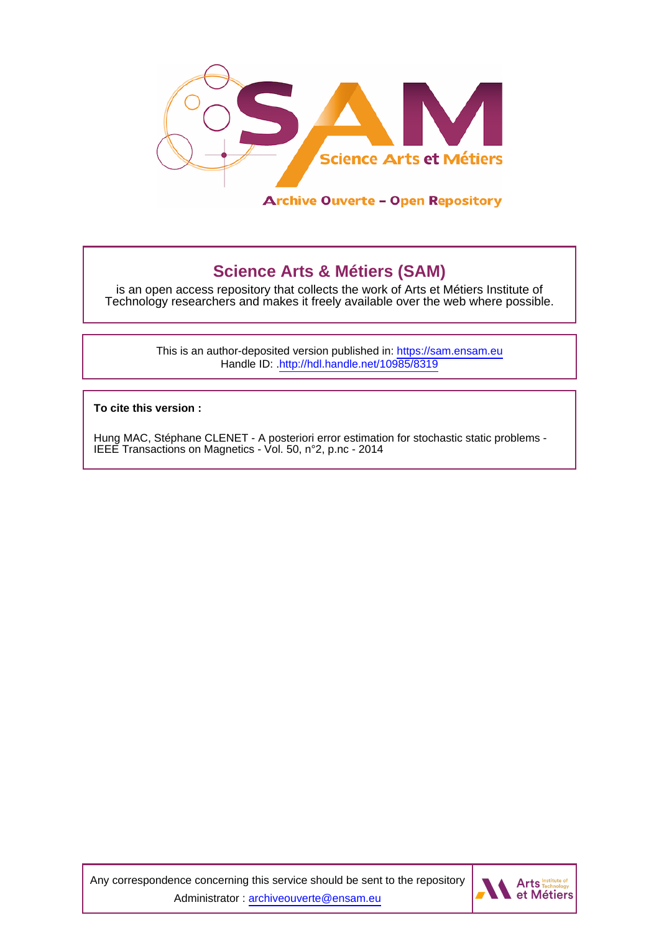

**Science Arts & Métiers (SAM)** is an open access repository that collects the work of Arts et Métiers Institute of Technology researchers and makes it freely available over the web where possible.

> This is an author-deposited version published in:<https://sam.ensam.eu> Handle ID: [.http://hdl.handle.net/10985/8319](http://hdl.handle.net/10985/8319)

**To cite this version :**

Hung MAC, Stéphane CLENET - A posteriori error estimation for stochastic static problems - IEEE Transactions on Magnetics - Vol. 50, n°2, p.nc - 2014

Any correspondence concerning this service should be sent to the repository Administrator : [archiveouverte@ensam.eu](mailto:archiveouverte@ensam.eu)

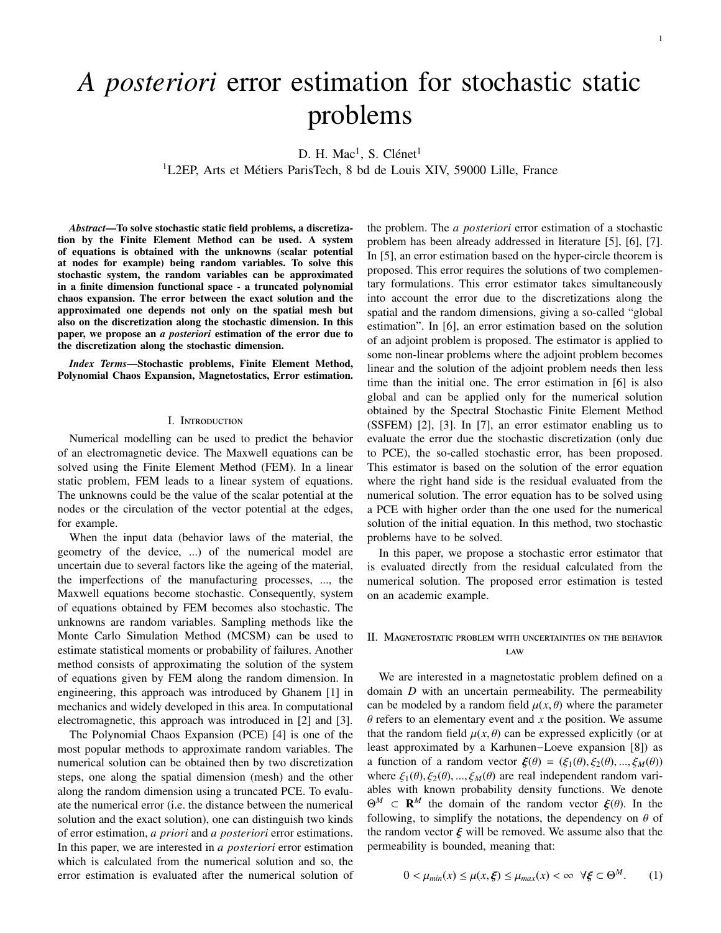# *A posteriori* error estimation for stochastic static problems

D. H. Mac<sup>1</sup>, S. Clénet<sup>1</sup>

 $1$ L2EP, Arts et Métiers ParisTech, 8 bd de Louis XIV, 59000 Lille, France

*Abstract*—To solve stochastic static field problems, a discretization by the Finite Element Method can be used. A system of equations is obtained with the unknowns (scalar potential at nodes for example) being random variables. To solve this stochastic system, the random variables can be approximated in a finite dimension functional space - a truncated polynomial chaos expansion. The error between the exact solution and the approximated one depends not only on the spatial mesh but also on the discretization along the stochastic dimension. In this paper, we propose an *a posteriori* estimation of the error due to the discretization along the stochastic dimension.

*Index Terms*—Stochastic problems, Finite Element Method, Polynomial Chaos Expansion, Magnetostatics, Error estimation.

#### I. Introduction

Numerical modelling can be used to predict the behavior of an electromagnetic device. The Maxwell equations can be solved using the Finite Element Method (FEM). In a linear static problem, FEM leads to a linear system of equations. The unknowns could be the value of the scalar potential at the nodes or the circulation of the vector potential at the edges, for example.

When the input data (behavior laws of the material, the geometry of the device, ...) of the numerical model are uncertain due to several factors like the ageing of the material, the imperfections of the manufacturing processes, ..., the Maxwell equations become stochastic. Consequently, system of equations obtained by FEM becomes also stochastic. The unknowns are random variables. Sampling methods like the Monte Carlo Simulation Method (MCSM) can be used to estimate statistical moments or probability of failures. Another method consists of approximating the solution of the system of equations given by FEM along the random dimension. In engineering, this approach was introduced by Ghanem [1] in mechanics and widely developed in this area. In computational electromagnetic, this approach was introduced in [2] and [3].

The Polynomial Chaos Expansion (PCE) [4] is one of the most popular methods to approximate random variables. The numerical solution can be obtained then by two discretization steps, one along the spatial dimension (mesh) and the other along the random dimension using a truncated PCE. To evaluate the numerical error (i.e. the distance between the numerical solution and the exact solution), one can distinguish two kinds of error estimation, *a priori* and *a posteriori* error estimations. In this paper, we are interested in *a posteriori* error estimation which is calculated from the numerical solution and so, the error estimation is evaluated after the numerical solution of

the problem. The *a posteriori* error estimation of a stochastic problem has been already addressed in literature [5], [6], [7]. In [5], an error estimation based on the hyper-circle theorem is proposed. This error requires the solutions of two complementary formulations. This error estimator takes simultaneously into account the error due to the discretizations along the spatial and the random dimensions, giving a so-called "global estimation". In [6], an error estimation based on the solution of an adjoint problem is proposed. The estimator is applied to some non-linear problems where the adjoint problem becomes linear and the solution of the adjoint problem needs then less time than the initial one. The error estimation in [6] is also global and can be applied only for the numerical solution obtained by the Spectral Stochastic Finite Element Method (SSFEM) [2], [3]. In [7], an error estimator enabling us to evaluate the error due the stochastic discretization (only due to PCE), the so-called stochastic error, has been proposed. This estimator is based on the solution of the error equation where the right hand side is the residual evaluated from the numerical solution. The error equation has to be solved using a PCE with higher order than the one used for the numerical solution of the initial equation. In this method, two stochastic problems have to be solved.

In this paper, we propose a stochastic error estimator that is evaluated directly from the residual calculated from the numerical solution. The proposed error estimation is tested on an academic example.

# II. Magnetostatic problem with uncertainties on the behavior law

We are interested in a magnetostatic problem defined on a domain *D* with an uncertain permeability. The permeability can be modeled by a random field  $\mu(x, \theta)$  where the parameter  $\theta$  refers to an elementary event and  $x$  the position. We assume that the random field  $\mu(x, \theta)$  can be expressed explicitly (or at least approximated by a Karhunen−Loeve expansion [8]) as a function of a random vector  $\boldsymbol{\xi}(\theta) = (\xi_1(\theta), \xi_2(\theta), ..., \xi_M(\theta))$ where  $\xi_1(\theta)$ ,  $\xi_2(\theta)$ , ...,  $\xi_M(\theta)$  are real independent random variables with known probability density functions. We denote  $\Theta^M \subset \mathbf{R}^M$  the domain of the random vector  $\boldsymbol{\xi}(\theta)$ . In the following to simplify the potations the dependency on  $\theta$  of following, to simplify the notations, the dependency on  $\theta$  of the random vector  $\xi$  will be removed. We assume also that the permeability is bounded, meaning that:

$$
0 < \mu_{\min}(x) \le \mu(x, \xi) \le \mu_{\max}(x) < \infty \ \ \forall \xi \subset \Theta^M. \tag{1}
$$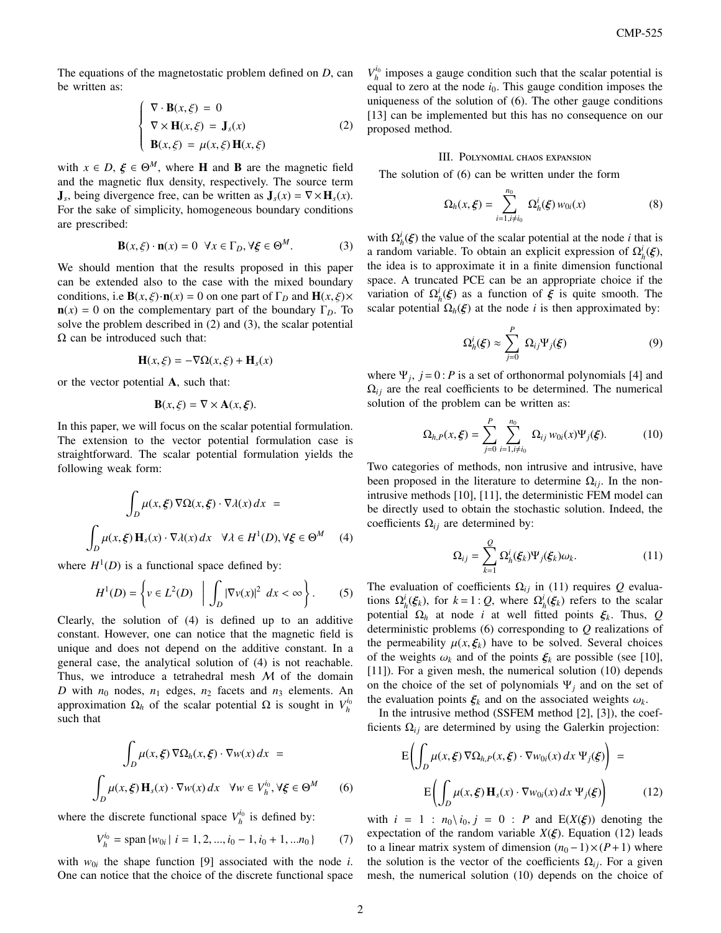The equations of the magnetostatic problem defined on *D*, can be written as:

$$
\begin{cases}\n\nabla \cdot \mathbf{B}(x,\xi) = 0 \\
\nabla \times \mathbf{H}(x,\xi) = \mathbf{J}_s(x) \\
\mathbf{B}(x,\xi) = \mu(x,\xi) \mathbf{H}(x,\xi)\n\end{cases}
$$
\n(2)

with  $x \in D$ ,  $\xi \in \Theta^M$ , where **H** and **B** are the magnetic field<br>and the magnetic flux density respectively. The source term and the magnetic flux density, respectively. The source term  $J_s$ , being divergence free, can be written as  $J_s(x) = \nabla \times H_s(x)$ . For the sake of simplicity, homogeneous boundary conditions are prescribed:

$$
\mathbf{B}(x,\xi)\cdot\mathbf{n}(x) = 0 \ \forall x \in \Gamma_D, \forall \xi \in \Theta^M.
$$
 (3)

We should mention that the results proposed in this paper can be extended also to the case with the mixed boundary conditions, i.e **B**( $x, \xi$ )·**n**( $x$ ) = 0 on one part of  $\Gamma_D$  and **H**( $x, \xi$ )×  $\mathbf{n}(x) = 0$  on the complementary part of the boundary  $\Gamma_D$ . To solve the problem described in (2) and (3), the scalar potential  $\Omega$  can be introduced such that:

$$
\mathbf{H}(x,\xi) = -\nabla\Omega(x,\xi) + \mathbf{H}_s(x)
$$

or the vector potential A, such that:

$$
\mathbf{B}(x,\xi) = \nabla \times \mathbf{A}(x,\xi).
$$

In this paper, we will focus on the scalar potential formulation. The extension to the vector potential formulation case is straightforward. The scalar potential formulation yields the following weak form:

$$
\int_{D} \mu(x,\xi) \nabla \Omega(x,\xi) \cdot \nabla \lambda(x) dx =
$$
\n
$$
\int_{D} \mu(x,\xi) \mathbf{H}_{s}(x) \cdot \nabla \lambda(x) dx \quad \forall \lambda \in H^{1}(D), \forall \xi \in \Theta^{M} \quad (4)
$$

where  $H^1(D)$  is a functional space defined by:

$$
H^{1}(D) = \left\{ v \in L^{2}(D) \mid \int_{D} |\nabla v(x)|^{2} dx < \infty \right\}.
$$
 (5)

Clearly, the solution of (4) is defined up to an additive constant. However, one can notice that the magnetic field is unique and does not depend on the additive constant. In a general case, the analytical solution of (4) is not reachable. Thus, we introduce a tetrahedral mesh  $M$  of the domain *D* with  $n_0$  nodes,  $n_1$  edges,  $n_2$  facets and  $n_3$  elements. An approximation  $\Omega_h$  of the scalar potential  $\Omega$  is sought in  $V_h^{i_0}$ such that

$$
\int_{D} \mu(x,\xi) \nabla \Omega_{h}(x,\xi) \cdot \nabla w(x) dx =
$$
\n
$$
\int_{D} \mu(x,\xi) \mathbf{H}_{s}(x) \cdot \nabla w(x) dx \quad \forall w \in V_{h}^{i_{0}}, \forall \xi \in \Theta^{M} \qquad (6)
$$

where the discrete functional space  $V_h^{i_0}$  is defined by:

$$
V_h^{i_0} = \text{span}\{w_{0i} \mid i = 1, 2, ..., i_0 - 1, i_0 + 1, ... n_0\} \tag{7}
$$

with  $w_{0i}$  the shape function [9] associated with the node *i*. One can notice that the choice of the discrete functional space

 $V_h^{i_0}$  imposes a gauge condition such that the scalar potential is equal to zero at the node  $i<sub>0</sub>$ . This gauge condition imposes the uniqueness of the solution of (6). The other gauge conditions [13] can be implemented but this has no consequence on our proposed method.

### III. Polynomial chaos expansion

The solution of (6) can be written under the form

$$
\Omega_h(x,\xi) = \sum_{i=1, i \neq i_0}^{n_0} \Omega_h^i(\xi) w_{0i}(x) \tag{8}
$$

with  $\Omega_h^i(\xi)$  the value of the scalar potential at the node *i* that is<br>a random variable. To obtain an explicit expression of  $O^i(\xi)$ a random variable. To obtain an explicit expression of  $\Omega_h^i(\xi)$ , the idea is to approximate it in a finite dimension functional the idea is to approximate it in a finite dimension functional space. A truncated PCE can be an appropriate choice if the variation of  $\Omega_h^i(\xi)$  as a function of  $\xi$  is quite smooth. The<br>scalar potential  $\Omega_i(\xi)$  at the node *i* is then approximated by: scalar potential  $\Omega_h(\xi)$  at the node *i* is then approximated by:

$$
\Omega_h^i(\xi) \approx \sum_{j=0}^P \Omega_{ij} \Psi_j(\xi)
$$
\n(9)

where  $\Psi_j$ ,  $j = 0$ : *P* is a set of orthonormal polynomials [4] and  $\Omega_{ii}$  are the real coefficients to be determined. The numerical solution of the problem can be written as:

$$
\Omega_{h,P}(x,\xi) = \sum_{j=0}^{P} \sum_{i=1, i \neq i_0}^{n_0} \Omega_{ij} w_{0i}(x) \Psi_j(\xi). \tag{10}
$$

Two categories of methods, non intrusive and intrusive, have been proposed in the literature to determine  $\Omega_{ij}$ . In the nonintrusive methods [10], [11], the deterministic FEM model can be directly used to obtain the stochastic solution. Indeed, the coefficients  $\Omega_{ij}$  are determined by:

$$
\Omega_{ij} = \sum_{k=1}^{Q} \Omega_h^i(\xi_k) \Psi_j(\xi_k) \omega_k.
$$
\n(11)

The evaluation of coefficients  $\Omega_{ij}$  in (11) requires Q evaluations  $\Omega_h^i(\xi_k)$ , for  $k = 1 : Q$ , where  $\Omega_h^i(\xi_k)$  refers to the scalar<br>potential  $Q_i$ , at node *i* at well fitted points  $\xi$ . Thus  $Q$ potential  $\Omega_h$  at node *i* at well fitted points  $\xi_k$ . Thus, *Q* deterministic problems (6) corresponding to *Q* realizations of the permeability  $\mu(x, \xi_k)$  have to be solved. Several choices of the weights  $\omega_k$  and of the points  $\xi_k$  are possible (see [10], [11]). For a given mesh, the numerical solution (10) depends on the choice of the set of polynomials  $\Psi_j$  and on the set of the evaluation points  $\xi_k$  and on the associated weights  $\omega_k$ .

In the intrusive method (SSFEM method [2], [3]), the coefficients  $\Omega_{ij}$  are determined by using the Galerkin projection:

$$
E\left(\int_D \mu(x,\xi) \nabla \Omega_{h,P}(x,\xi) \cdot \nabla w_{0i}(x) dx \Psi_j(\xi)\right) =
$$
  

$$
E\left(\int_D \mu(x,\xi) \mathbf{H}_s(x) \cdot \nabla w_{0i}(x) dx \Psi_j(\xi)\right)
$$
(12)

with  $i = 1$ :  $n_0 \setminus i_0$ ,  $j = 0$ : *P* and  $E(X(\xi))$  denoting the expectation of the random variable  $X(\xi)$ . Equation (12) leads to a linear matrix system of dimension  $(n_0 - 1) \times (P + 1)$  where the solution is the vector of the coefficients  $\Omega_{ij}$ . For a given mesh, the numerical solution (10) depends on the choice of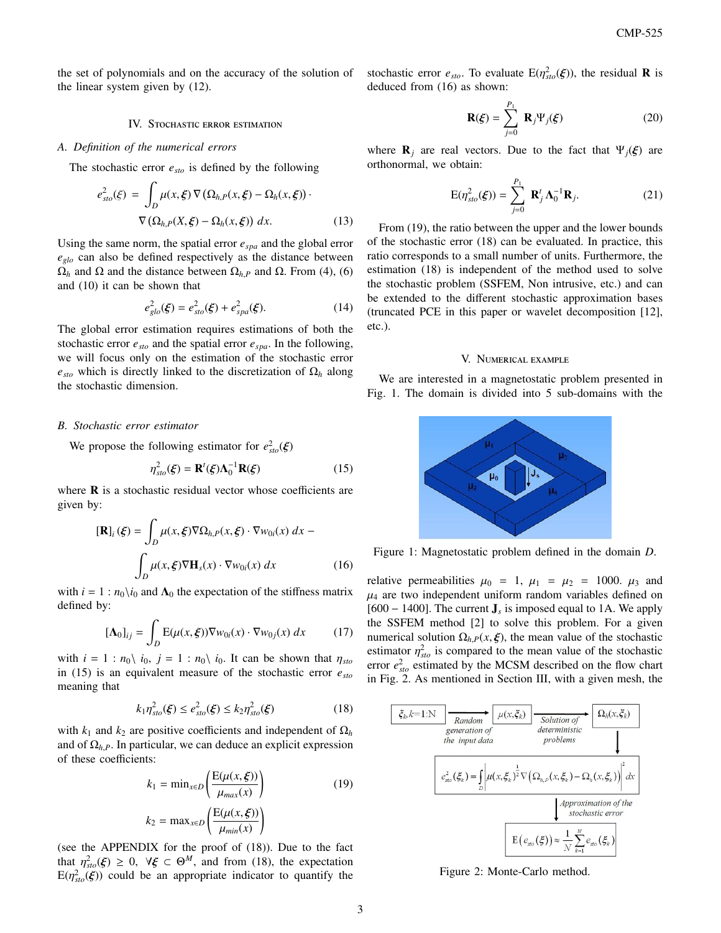the set of polynomials and on the accuracy of the solution of the linear system given by (12).

### IV. Stochastic error estimation

# *A. Definition of the numerical errors*

The stochastic error *esto* is defined by the following

$$
e_{sto}^2(\xi) = \int_D \mu(x, \xi) \nabla (\Omega_{h,P}(x, \xi) - \Omega_h(x, \xi)) \cdot \nabla (\Omega_{h,P}(X, \xi) - \Omega_h(x, \xi)) dx.
$$
 (13)

Using the same norm, the spatial error *espa* and the global error *eglo* can also be defined respectively as the distance between  $Ω<sub>h</sub>$  and  $Ω$  and the distance between  $Ω<sub>h</sub>$ *P* and  $Ω$ . From (4), (6) and (10) it can be shown that

$$
e_{glo}^2(\xi) = e_{sto}^2(\xi) + e_{spa}^2(\xi). \tag{14}
$$

The global error estimation requires estimations of both the stochastic error *esto* and the spatial error *espa*. In the following, we will focus only on the estimation of the stochastic error  $e_{sto}$  which is directly linked to the discretization of  $\Omega_h$  along the stochastic dimension.

#### *B. Stochastic error estimator*

We propose the following estimator for  $e_{sto}^2(\xi)$ 

$$
\eta_{sto}^2(\xi) = \mathbf{R}^t(\xi)\Lambda_0^{-1}\mathbf{R}(\xi)
$$
 (15)

where  $\bf{R}$  is a stochastic residual vector whose coefficients are given by:

$$
[\mathbf{R}]_i(\xi) = \int_D \mu(x, \xi) \nabla \Omega_{h, P}(x, \xi) \cdot \nabla w_{0i}(x) dx -
$$

$$
\int_D \mu(x, \xi) \nabla \mathbf{H}_s(x) \cdot \nabla w_{0i}(x) dx \qquad (16)
$$

with  $i = 1 : n_0\backslash i_0$  and  $\Lambda_0$  the expectation of the stiffness matrix defined by:

$$
[\mathbf{\Lambda}_0]_{ij} = \int_D \mathbf{E}(\mu(x,\xi)) \nabla w_{0i}(x) \cdot \nabla w_{0j}(x) dx \qquad (17)
$$

with  $i = 1$ :  $n_0 \nvert i_0$ ,  $j = 1$ :  $n_0 \nvert i_0$ . It can be shown that  $\eta_{sto}$ in (15) is an equivalent measure of the stochastic error *esto* meaning that

$$
k_1 \eta_{sto}^2(\xi) \le e_{sto}^2(\xi) \le k_2 \eta_{sto}^2(\xi)
$$
 (18)

with  $k_1$  and  $k_2$  are positive coefficients and independent of  $\Omega_h$ and of  $\Omega_{h,P}$ . In particular, we can deduce an explicit expression of these coefficients:

$$
k_1 = \min_{x \in D} \left( \frac{E(\mu(x, \xi))}{\mu_{max}(x)} \right)
$$
(19)  

$$
k_2 = \max_{x \in D} \left( \frac{E(\mu(x, \xi))}{\mu_{min}(x)} \right)
$$

(see the APPENDIX for the proof of (18)). Due to the fact that  $\eta_{\text{sto}}^2(\xi) \geq 0$ ,  $\forall \xi \in \Theta^M$ , and from (18), the expectation  $E(n^2, \xi)$  could be an appropriate indicator to quantify the  $E(\eta_{sto}^2(\xi))$  could be an appropriate indicator to quantify the stochastic error  $e_{sto}$ . To evaluate  $E(\eta_{sto}^2(\xi))$ , the residual **R** is deduced from (16) as shown: deduced from (16) as shown:

$$
\mathbf{R}(\xi) = \sum_{j=0}^{P_1} \mathbf{R}_j \Psi_j(\xi)
$$
 (20)

where  $\mathbf{R}_i$  are real vectors. Due to the fact that  $\Psi_i(\xi)$  are orthonormal, we obtain:

$$
E(\eta_{sto}^2(\boldsymbol{\xi})) = \sum_{j=0}^{P_1} \mathbf{R}_j^t \boldsymbol{\Lambda}_0^{-1} \mathbf{R}_j.
$$
 (21)

From (19), the ratio between the upper and the lower bounds of the stochastic error (18) can be evaluated. In practice, this ratio corresponds to a small number of units. Furthermore, the estimation (18) is independent of the method used to solve the stochastic problem (SSFEM, Non intrusive, etc.) and can be extended to the different stochastic approximation bases (truncated PCE in this paper or wavelet decomposition [12], etc.).

#### V. Numerical example

We are interested in a magnetostatic problem presented in Fig. 1. The domain is divided into 5 sub-domains with the



Figure 1: Magnetostatic problem defined in the domain *D*.

relative permeabilities  $\mu_0 = 1$ ,  $\mu_1 = \mu_2 = 1000$ .  $\mu_3$  and  $\mu_4$  are two independent uniform random variables defined on [600 − 1400]. The current J*<sup>s</sup>* is imposed equal to 1A. We apply the SSFEM method [2] to solve this problem. For a given numerical solution  $\Omega_h$ ,  $P(x, \xi)$ , the mean value of the stochastic estimator  $\eta_{sto}^2$  is compared to the mean value of the stochastic<br>error  $e^2$  estimated by the MCSM described on the flow chart error  $e_{sto}^2$  estimated by the MCSM described on the flow chart in Fig. 2. As mentioned in Section III, with a given mesh, the



Figure 2: Monte-Carlo method.